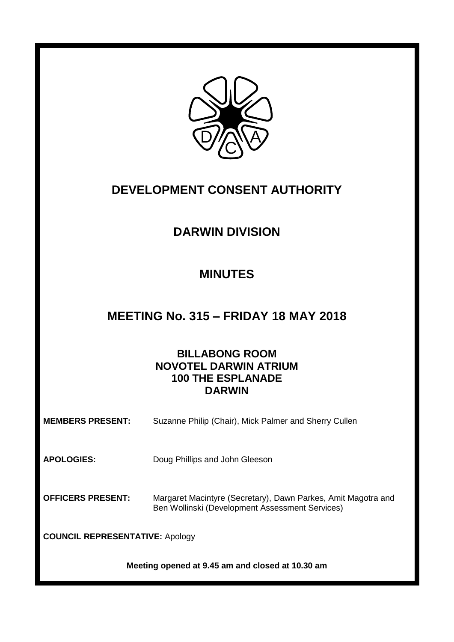

# **DEVELOPMENT CONSENT AUTHORITY**

# **DARWIN DIVISION**

## **MINUTES**

## **MEETING No. 315 – FRIDAY 18 MAY 2018**

## **BILLABONG ROOM NOVOTEL DARWIN ATRIUM 100 THE ESPLANADE DARWIN**

| <b>MEMBERS PRESENT:</b>                | Suzanne Philip (Chair), Mick Palmer and Sherry Cullen                                                            |  |
|----------------------------------------|------------------------------------------------------------------------------------------------------------------|--|
| <b>APOLOGIES:</b>                      | Doug Phillips and John Gleeson                                                                                   |  |
| <b>OFFICERS PRESENT:</b>               | Margaret Macintyre (Secretary), Dawn Parkes, Amit Magotra and<br>Ben Wollinski (Development Assessment Services) |  |
| <b>COUNCIL REPRESENTATIVE: Apology</b> |                                                                                                                  |  |
|                                        |                                                                                                                  |  |

**Meeting opened at 9.45 am and closed at 10.30 am**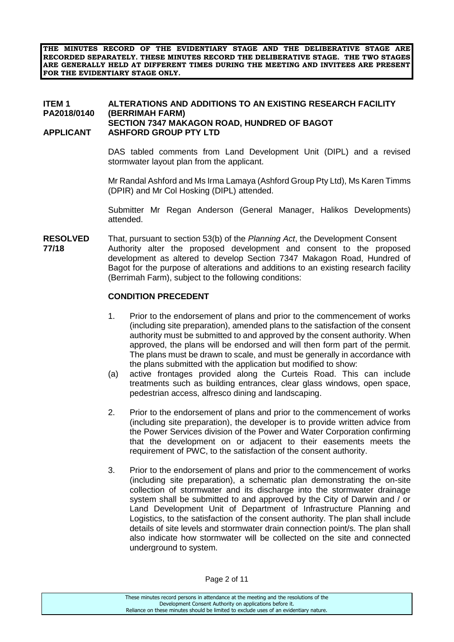**THE MINUTES RECORD OF THE EVIDENTIARY STAGE AND THE DELIBERATIVE STAGE ARE RECORDED SEPARATELY. THESE MINUTES RECORD THE DELIBERATIVE STAGE. THE TWO STAGES ARE GENERALLY HELD AT DIFFERENT TIMES DURING THE MEETING AND INVITEES ARE PRESENT FOR THE EVIDENTIARY STAGE ONLY.**

#### **ITEM 1 ALTERATIONS AND ADDITIONS TO AN EXISTING RESEARCH FACILITY PA2018/0140 (BERRIMAH FARM) SECTION 7347 MAKAGON ROAD, HUNDRED OF BAGOT APPLICANT ASHFORD GROUP PTY LTD**

DAS tabled comments from Land Development Unit (DIPL) and a revised stormwater layout plan from the applicant.

Mr Randal Ashford and Ms Irma Lamaya (Ashford Group Pty Ltd), Ms Karen Timms (DPIR) and Mr Col Hosking (DIPL) attended.

Submitter Mr Regan Anderson (General Manager, Halikos Developments) attended.

**RESOLVED** That, pursuant to section 53(b) of the *Planning Act*, the Development Consent **77/18** Authority alter the proposed development and consent to the proposed development as altered to develop Section 7347 Makagon Road, Hundred of Bagot for the purpose of alterations and additions to an existing research facility (Berrimah Farm), subject to the following conditions:

#### **CONDITION PRECEDENT**

- 1. Prior to the endorsement of plans and prior to the commencement of works (including site preparation), amended plans to the satisfaction of the consent authority must be submitted to and approved by the consent authority. When approved, the plans will be endorsed and will then form part of the permit. The plans must be drawn to scale, and must be generally in accordance with the plans submitted with the application but modified to show:
- (a) active frontages provided along the Curteis Road. This can include treatments such as building entrances, clear glass windows, open space, pedestrian access, alfresco dining and landscaping.
- 2. Prior to the endorsement of plans and prior to the commencement of works (including site preparation), the developer is to provide written advice from the Power Services division of the Power and Water Corporation confirming that the development on or adjacent to their easements meets the requirement of PWC, to the satisfaction of the consent authority.
- 3. Prior to the endorsement of plans and prior to the commencement of works (including site preparation), a schematic plan demonstrating the on-site collection of stormwater and its discharge into the stormwater drainage system shall be submitted to and approved by the City of Darwin and / or Land Development Unit of Department of Infrastructure Planning and Logistics, to the satisfaction of the consent authority. The plan shall include details of site levels and stormwater drain connection point/s. The plan shall also indicate how stormwater will be collected on the site and connected underground to system.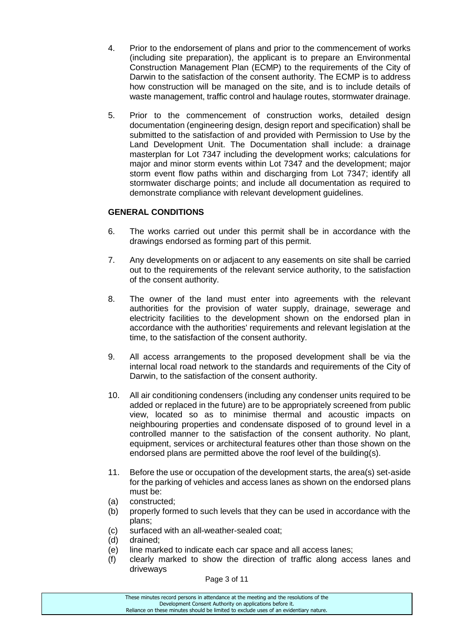- 4. Prior to the endorsement of plans and prior to the commencement of works (including site preparation), the applicant is to prepare an Environmental Construction Management Plan (ECMP) to the requirements of the City of Darwin to the satisfaction of the consent authority. The ECMP is to address how construction will be managed on the site, and is to include details of waste management, traffic control and haulage routes, stormwater drainage.
- 5. Prior to the commencement of construction works, detailed design documentation (engineering design, design report and specification) shall be submitted to the satisfaction of and provided with Permission to Use by the Land Development Unit. The Documentation shall include: a drainage masterplan for Lot 7347 including the development works; calculations for major and minor storm events within Lot 7347 and the development; major storm event flow paths within and discharging from Lot 7347; identify all stormwater discharge points; and include all documentation as required to demonstrate compliance with relevant development guidelines.

### **GENERAL CONDITIONS**

- 6. The works carried out under this permit shall be in accordance with the drawings endorsed as forming part of this permit.
- 7. Any developments on or adjacent to any easements on site shall be carried out to the requirements of the relevant service authority, to the satisfaction of the consent authority.
- 8. The owner of the land must enter into agreements with the relevant authorities for the provision of water supply, drainage, sewerage and electricity facilities to the development shown on the endorsed plan in accordance with the authorities' requirements and relevant legislation at the time, to the satisfaction of the consent authority.
- 9. All access arrangements to the proposed development shall be via the internal local road network to the standards and requirements of the City of Darwin, to the satisfaction of the consent authority.
- 10. All air conditioning condensers (including any condenser units required to be added or replaced in the future) are to be appropriately screened from public view, located so as to minimise thermal and acoustic impacts on neighbouring properties and condensate disposed of to ground level in a controlled manner to the satisfaction of the consent authority. No plant, equipment, services or architectural features other than those shown on the endorsed plans are permitted above the roof level of the building(s).
- 11. Before the use or occupation of the development starts, the area(s) set-aside for the parking of vehicles and access lanes as shown on the endorsed plans must be:
- (a) constructed;
- (b) properly formed to such levels that they can be used in accordance with the plans;
- (c) surfaced with an all-weather-sealed coat;
- (d) drained;
- (e) line marked to indicate each car space and all access lanes;
- (f) clearly marked to show the direction of traffic along access lanes and driveways

Page 3 of 11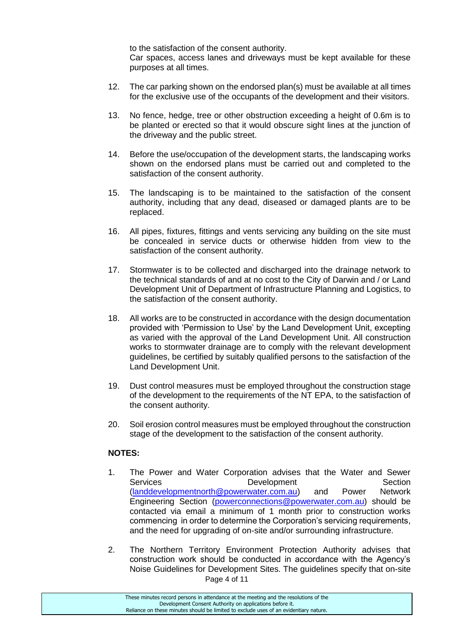to the satisfaction of the consent authority.

Car spaces, access lanes and driveways must be kept available for these purposes at all times.

- 12. The car parking shown on the endorsed plan(s) must be available at all times for the exclusive use of the occupants of the development and their visitors.
- 13. No fence, hedge, tree or other obstruction exceeding a height of 0.6m is to be planted or erected so that it would obscure sight lines at the junction of the driveway and the public street.
- 14. Before the use/occupation of the development starts, the landscaping works shown on the endorsed plans must be carried out and completed to the satisfaction of the consent authority.
- 15. The landscaping is to be maintained to the satisfaction of the consent authority, including that any dead, diseased or damaged plants are to be replaced.
- 16. All pipes, fixtures, fittings and vents servicing any building on the site must be concealed in service ducts or otherwise hidden from view to the satisfaction of the consent authority.
- 17. Stormwater is to be collected and discharged into the drainage network to the technical standards of and at no cost to the City of Darwin and / or Land Development Unit of Department of Infrastructure Planning and Logistics, to the satisfaction of the consent authority.
- 18. All works are to be constructed in accordance with the design documentation provided with 'Permission to Use' by the Land Development Unit, excepting as varied with the approval of the Land Development Unit. All construction works to stormwater drainage are to comply with the relevant development guidelines, be certified by suitably qualified persons to the satisfaction of the Land Development Unit.
- 19. Dust control measures must be employed throughout the construction stage of the development to the requirements of the NT EPA, to the satisfaction of the consent authority.
- 20. Soil erosion control measures must be employed throughout the construction stage of the development to the satisfaction of the consent authority.

## **NOTES:**

- 1. The Power and Water Corporation advises that the Water and Sewer Services Development Section [\(landdevelopmentnorth@powerwater.com.au\)](mailto:landdevelopmentnorth@powerwater.com.au) and Power Network Engineering Section [\(powerconnections@powerwater.com.au\)](mailto:powerconnections@powerwater.com.au) should be contacted via email a minimum of 1 month prior to construction works commencing in order to determine the Corporation's servicing requirements, and the need for upgrading of on-site and/or surrounding infrastructure.
- Page 4 of 11 2. The Northern Territory Environment Protection Authority advises that construction work should be conducted in accordance with the Agency's Noise Guidelines for Development Sites. The guidelines specify that on-site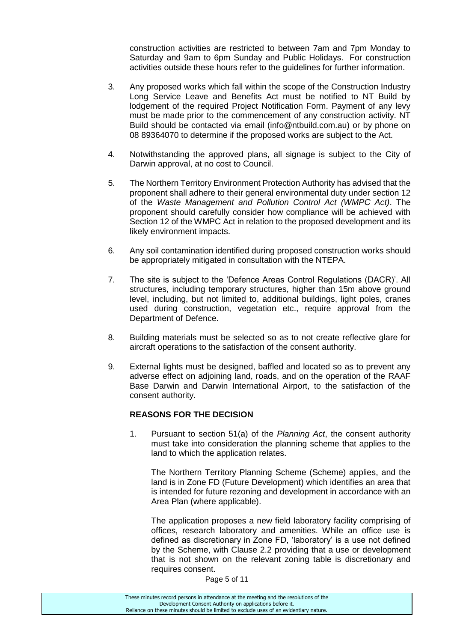construction activities are restricted to between 7am and 7pm Monday to Saturday and 9am to 6pm Sunday and Public Holidays. For construction activities outside these hours refer to the guidelines for further information.

- 3. Any proposed works which fall within the scope of the Construction Industry Long Service Leave and Benefits Act must be notified to NT Build by lodgement of the required Project Notification Form. Payment of any levy must be made prior to the commencement of any construction activity. NT Build should be contacted via email (info@ntbuild.com.au) or by phone on 08 89364070 to determine if the proposed works are subject to the Act.
- 4. Notwithstanding the approved plans, all signage is subject to the City of Darwin approval, at no cost to Council.
- 5. The Northern Territory Environment Protection Authority has advised that the proponent shall adhere to their general environmental duty under section 12 of the *Waste Management and Pollution Control Act (WMPC Act)*. The proponent should carefully consider how compliance will be achieved with Section 12 of the WMPC Act in relation to the proposed development and its likely environment impacts.
- 6. Any soil contamination identified during proposed construction works should be appropriately mitigated in consultation with the NTEPA.
- 7. The site is subject to the 'Defence Areas Control Regulations (DACR)'. All structures, including temporary structures, higher than 15m above ground level, including, but not limited to, additional buildings, light poles, cranes used during construction, vegetation etc., require approval from the Department of Defence.
- 8. Building materials must be selected so as to not create reflective glare for aircraft operations to the satisfaction of the consent authority.
- 9. External lights must be designed, baffled and located so as to prevent any adverse effect on adjoining land, roads, and on the operation of the RAAF Base Darwin and Darwin International Airport, to the satisfaction of the consent authority.

### **REASONS FOR THE DECISION**

1. Pursuant to section 51(a) of the *Planning Act*, the consent authority must take into consideration the planning scheme that applies to the land to which the application relates.

The Northern Territory Planning Scheme (Scheme) applies, and the land is in Zone FD (Future Development) which identifies an area that is intended for future rezoning and development in accordance with an Area Plan (where applicable).

The application proposes a new field laboratory facility comprising of offices, research laboratory and amenities. While an office use is defined as discretionary in Zone FD, 'laboratory' is a use not defined by the Scheme, with Clause 2.2 providing that a use or development that is not shown on the relevant zoning table is discretionary and requires consent.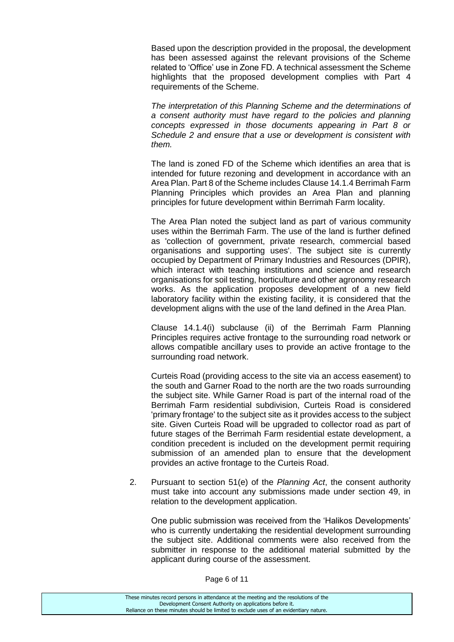Based upon the description provided in the proposal, the development has been assessed against the relevant provisions of the Scheme related to 'Office' use in Zone FD. A technical assessment the Scheme highlights that the proposed development complies with Part 4 requirements of the Scheme.

*The interpretation of this Planning Scheme and the determinations of a consent authority must have regard to the policies and planning concepts expressed in those documents appearing in Part 8 or Schedule 2 and ensure that a use or development is consistent with them.* 

The land is zoned FD of the Scheme which identifies an area that is intended for future rezoning and development in accordance with an Area Plan. Part 8 of the Scheme includes Clause 14.1.4 Berrimah Farm Planning Principles which provides an Area Plan and planning principles for future development within Berrimah Farm locality.

The Area Plan noted the subject land as part of various community uses within the Berrimah Farm. The use of the land is further defined as 'collection of government, private research, commercial based organisations and supporting uses'. The subject site is currently occupied by Department of Primary Industries and Resources (DPIR), which interact with teaching institutions and science and research organisations for soil testing, horticulture and other agronomy research works. As the application proposes development of a new field laboratory facility within the existing facility, it is considered that the development aligns with the use of the land defined in the Area Plan.

Clause 14.1.4(i) subclause (ii) of the Berrimah Farm Planning Principles requires active frontage to the surrounding road network or allows compatible ancillary uses to provide an active frontage to the surrounding road network.

Curteis Road (providing access to the site via an access easement) to the south and Garner Road to the north are the two roads surrounding the subject site. While Garner Road is part of the internal road of the Berrimah Farm residential subdivision, Curteis Road is considered 'primary frontage' to the subject site as it provides access to the subject site. Given Curteis Road will be upgraded to collector road as part of future stages of the Berrimah Farm residential estate development, a condition precedent is included on the development permit requiring submission of an amended plan to ensure that the development provides an active frontage to the Curteis Road.

2. Pursuant to section 51(e) of the *Planning Act*, the consent authority must take into account any submissions made under section 49, in relation to the development application.

One public submission was received from the 'Halikos Developments' who is currently undertaking the residential development surrounding the subject site. Additional comments were also received from the submitter in response to the additional material submitted by the applicant during course of the assessment.

Page 6 of 11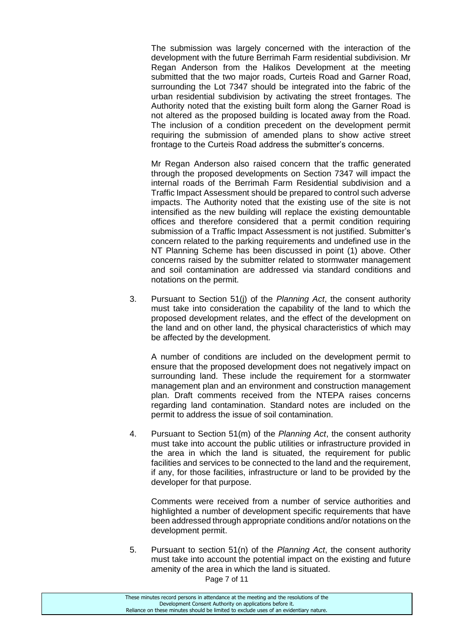The submission was largely concerned with the interaction of the development with the future Berrimah Farm residential subdivision. Mr Regan Anderson from the Halikos Development at the meeting submitted that the two major roads, Curteis Road and Garner Road, surrounding the Lot 7347 should be integrated into the fabric of the urban residential subdivision by activating the street frontages. The Authority noted that the existing built form along the Garner Road is not altered as the proposed building is located away from the Road. The inclusion of a condition precedent on the development permit requiring the submission of amended plans to show active street frontage to the Curteis Road address the submitter's concerns.

Mr Regan Anderson also raised concern that the traffic generated through the proposed developments on Section 7347 will impact the internal roads of the Berrimah Farm Residential subdivision and a Traffic Impact Assessment should be prepared to control such adverse impacts. The Authority noted that the existing use of the site is not intensified as the new building will replace the existing demountable offices and therefore considered that a permit condition requiring submission of a Traffic Impact Assessment is not justified. Submitter's concern related to the parking requirements and undefined use in the NT Planning Scheme has been discussed in point (1) above. Other concerns raised by the submitter related to stormwater management and soil contamination are addressed via standard conditions and notations on the permit.

3. Pursuant to Section 51(j) of the *Planning Act*, the consent authority must take into consideration the capability of the land to which the proposed development relates, and the effect of the development on the land and on other land, the physical characteristics of which may be affected by the development.

A number of conditions are included on the development permit to ensure that the proposed development does not negatively impact on surrounding land. These include the requirement for a stormwater management plan and an environment and construction management plan. Draft comments received from the NTEPA raises concerns regarding land contamination. Standard notes are included on the permit to address the issue of soil contamination.

4. Pursuant to Section 51(m) of the *Planning Act*, the consent authority must take into account the public utilities or infrastructure provided in the area in which the land is situated, the requirement for public facilities and services to be connected to the land and the requirement, if any, for those facilities, infrastructure or land to be provided by the developer for that purpose.

Comments were received from a number of service authorities and highlighted a number of development specific requirements that have been addressed through appropriate conditions and/or notations on the development permit.

5. Pursuant to section 51(n) of the *Planning Act*, the consent authority must take into account the potential impact on the existing and future amenity of the area in which the land is situated.

Page 7 of 11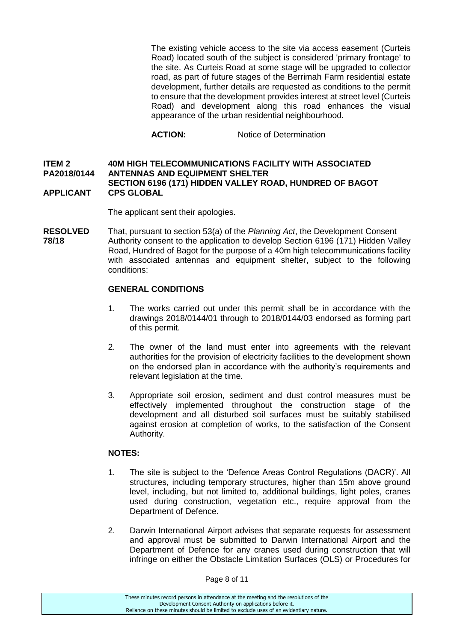The existing vehicle access to the site via access easement (Curteis Road) located south of the subject is considered 'primary frontage' to the site. As Curteis Road at some stage will be upgraded to collector road, as part of future stages of the Berrimah Farm residential estate development, further details are requested as conditions to the permit to ensure that the development provides interest at street level (Curteis Road) and development along this road enhances the visual appearance of the urban residential neighbourhood.

**ACTION:** Notice of Determination

#### **ITEM 2 40M HIGH TELECOMMUNICATIONS FACILITY WITH ASSOCIATED PA2018/0144 ANTENNAS AND EQUIPMENT SHELTER SECTION 6196 (171) HIDDEN VALLEY ROAD, HUNDRED OF BAGOT APPLICANT CPS GLOBAL**

The applicant sent their apologies.

**RESOLVED** That, pursuant to section 53(a) of the *Planning Act*, the Development Consent **78/18** Authority consent to the application to develop Section 6196 (171) Hidden Valley Road, Hundred of Bagot for the purpose of a 40m high telecommunications facility with associated antennas and equipment shelter, subject to the following conditions:

#### **GENERAL CONDITIONS**

- 1. The works carried out under this permit shall be in accordance with the drawings 2018/0144/01 through to 2018/0144/03 endorsed as forming part of this permit.
- 2. The owner of the land must enter into agreements with the relevant authorities for the provision of electricity facilities to the development shown on the endorsed plan in accordance with the authority's requirements and relevant legislation at the time.
- 3. Appropriate soil erosion, sediment and dust control measures must be effectively implemented throughout the construction stage of the development and all disturbed soil surfaces must be suitably stabilised against erosion at completion of works, to the satisfaction of the Consent Authority.

### **NOTES:**

- 1. The site is subject to the 'Defence Areas Control Regulations (DACR)'. All structures, including temporary structures, higher than 15m above ground level, including, but not limited to, additional buildings, light poles, cranes used during construction, vegetation etc., require approval from the Department of Defence.
- 2. Darwin International Airport advises that separate requests for assessment and approval must be submitted to Darwin International Airport and the Department of Defence for any cranes used during construction that will infringe on either the Obstacle Limitation Surfaces (OLS) or Procedures for

Page 8 of 11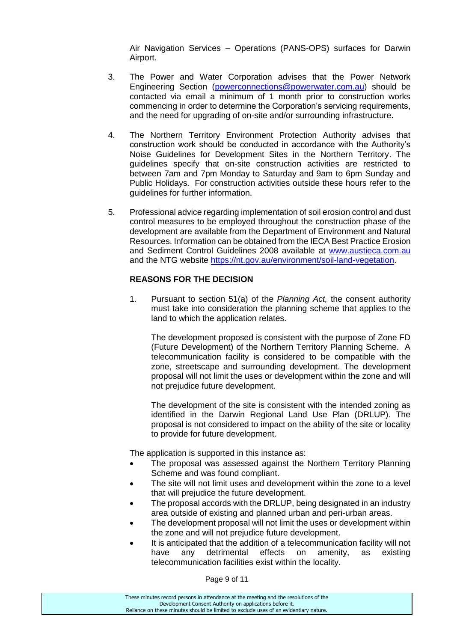Air Navigation Services – Operations (PANS-OPS) surfaces for Darwin Airport.

- 3. The Power and Water Corporation advises that the Power Network Engineering Section [\(powerconnections@powerwater.com.au\)](mailto:powerconnections@powerwater.com.au) should be contacted via email a minimum of 1 month prior to construction works commencing in order to determine the Corporation's servicing requirements, and the need for upgrading of on-site and/or surrounding infrastructure.
- 4. The Northern Territory Environment Protection Authority advises that construction work should be conducted in accordance with the Authority's Noise Guidelines for Development Sites in the Northern Territory. The guidelines specify that on-site construction activities are restricted to between 7am and 7pm Monday to Saturday and 9am to 6pm Sunday and Public Holidays. For construction activities outside these hours refer to the guidelines for further information.
- 5. Professional advice regarding implementation of soil erosion control and dust control measures to be employed throughout the construction phase of the development are available from the Department of Environment and Natural Resources. Information can be obtained from the IECA Best Practice Erosion and Sediment Control Guidelines 2008 available at [www.austieca.com.au](http://www.austieca.com.au/) and the NTG website [https://nt.gov.au/environment/soil-land-vegetation.](https://nt.gov.au/environment/soil-land-vegetation)

### **REASONS FOR THE DECISION**

1. Pursuant to section 51(a) of the *Planning Act,* the consent authority must take into consideration the planning scheme that applies to the land to which the application relates.

The development proposed is consistent with the purpose of Zone FD (Future Development) of the Northern Territory Planning Scheme. A telecommunication facility is considered to be compatible with the zone, streetscape and surrounding development. The development proposal will not limit the uses or development within the zone and will not prejudice future development.

The development of the site is consistent with the intended zoning as identified in the Darwin Regional Land Use Plan (DRLUP). The proposal is not considered to impact on the ability of the site or locality to provide for future development.

The application is supported in this instance as:

- The proposal was assessed against the Northern Territory Planning Scheme and was found compliant.
- The site will not limit uses and development within the zone to a level that will prejudice the future development.
- The proposal accords with the DRLUP, being designated in an industry area outside of existing and planned urban and peri-urban areas.
- The development proposal will not limit the uses or development within the zone and will not prejudice future development.
- It is anticipated that the addition of a telecommunication facility will not have any detrimental effects on amenity, as existing telecommunication facilities exist within the locality.

Page 9 of 11

These minutes record persons in attendance at the meeting and the resolutions of the Development Consent Authority on applications before it. Reliance on these minutes should be limited to exclude uses of an evidentiary nature.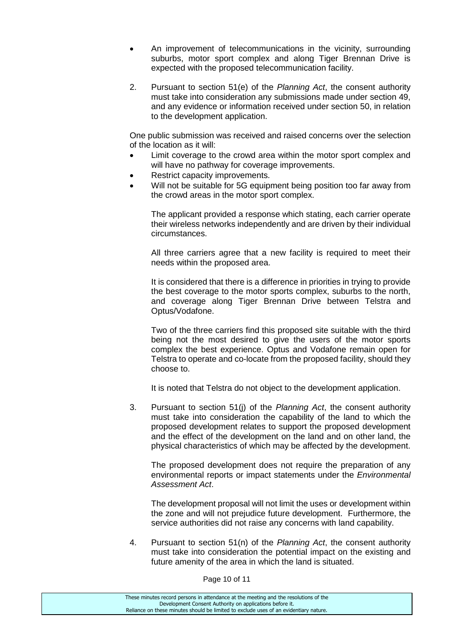- An improvement of telecommunications in the vicinity, surrounding suburbs, motor sport complex and along Tiger Brennan Drive is expected with the proposed telecommunication facility.
- 2. Pursuant to section 51(e) of the *Planning Act*, the consent authority must take into consideration any submissions made under section 49, and any evidence or information received under section 50, in relation to the development application.

One public submission was received and raised concerns over the selection of the location as it will:

- Limit coverage to the crowd area within the motor sport complex and will have no pathway for coverage improvements.
- Restrict capacity improvements.
- Will not be suitable for 5G equipment being position too far away from the crowd areas in the motor sport complex.

The applicant provided a response which stating, each carrier operate their wireless networks independently and are driven by their individual circumstances.

All three carriers agree that a new facility is required to meet their needs within the proposed area.

It is considered that there is a difference in priorities in trying to provide the best coverage to the motor sports complex, suburbs to the north, and coverage along Tiger Brennan Drive between Telstra and Optus/Vodafone.

Two of the three carriers find this proposed site suitable with the third being not the most desired to give the users of the motor sports complex the best experience. Optus and Vodafone remain open for Telstra to operate and co-locate from the proposed facility, should they choose to.

It is noted that Telstra do not object to the development application.

3. Pursuant to section 51(j) of the *Planning Act*, the consent authority must take into consideration the capability of the land to which the proposed development relates to support the proposed development and the effect of the development on the land and on other land, the physical characteristics of which may be affected by the development.

The proposed development does not require the preparation of any environmental reports or impact statements under the *Environmental Assessment Act*.

The development proposal will not limit the uses or development within the zone and will not prejudice future development. Furthermore, the service authorities did not raise any concerns with land capability.

4. Pursuant to section 51(n) of the *Planning Act*, the consent authority must take into consideration the potential impact on the existing and future amenity of the area in which the land is situated.

Page 10 of 11

| These minutes record persons in attendance at the meeting and the resolutions of the  |
|---------------------------------------------------------------------------------------|
| Development Consent Authority on applications before it.                              |
| Reliance on these minutes should be limited to exclude uses of an evidentiary nature. |